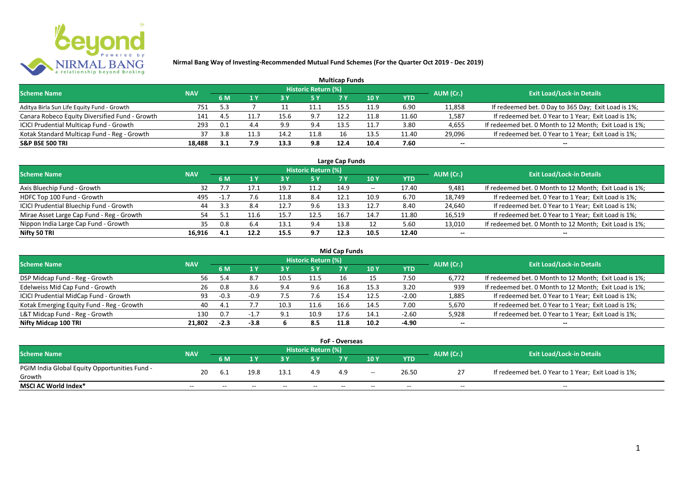

|                                                |            |        |      |      |                            | <b>Multicap Funds</b> |                 |       |           |                                                        |
|------------------------------------------------|------------|--------|------|------|----------------------------|-----------------------|-----------------|-------|-----------|--------------------------------------------------------|
| <b>Scheme Name</b>                             | <b>NAV</b> |        |      |      | <b>Historic Return (%)</b> |                       |                 |       | AUM (Cr.) | <b>Exit Load/Lock-in Details</b>                       |
|                                                |            | 6 M    |      | 73 Y |                            |                       | 10 <sub>Y</sub> | YTD   |           |                                                        |
| Aditya Birla Sun Life Equity Fund - Growth     | 751        | $-5.3$ |      |      | 11.1                       | 15.5                  | 11.9            | 6.90  | 11,858    | If redeemed bet. 0 Day to 365 Day; Exit Load is 1%;    |
| Canara Robeco Equity Diversified Fund - Growth | 141        | 45     | 11.7 | 15.6 | 9.7                        | 12.2                  | 11.8            | 11.60 | 1,587     | If redeemed bet. 0 Year to 1 Year; Exit Load is 1%;    |
| ICICI Prudential Multicap Fund - Growth        | 293        | 0.1    |      | 9.9  | 9.4                        | 13.5                  | 11.7            | 3.80  | 4,655     | If redeemed bet. 0 Month to 12 Month; Exit Load is 1%; |
| Kotak Standard Multicap Fund - Reg - Growth    | 37         | 3.8    | 11.3 | 14.2 | 11.8                       | 16                    | 13.5            | 11.40 | 29,096    | If redeemed bet. 0 Year to 1 Year; Exit Load is 1%;    |
| <b>S&amp;P BSE 500 TRI</b>                     | 18,488     | 3.1    | 7.9  | 13.3 | 9.8                        | 12.4                  | 10.4            | 7.60  | $- -$     | --                                                     |

| Large Cap Funds                           |            |        |      |      |                            |      |       |       |                          |                                                        |  |  |  |
|-------------------------------------------|------------|--------|------|------|----------------------------|------|-------|-------|--------------------------|--------------------------------------------------------|--|--|--|
| <b>Scheme Name</b>                        | <b>NAV</b> |        |      |      | <b>Historic Return (%)</b> |      |       |       | AUM (Cr.)                | <b>Exit Load/Lock-in Details</b>                       |  |  |  |
|                                           |            | 6 M    |      |      | 5 Y                        |      | 10 Y  | YTD   |                          |                                                        |  |  |  |
| Axis Bluechip Fund - Growth               | 32         |        |      | 19.7 | 11.2                       | 14.9 | $- -$ | 17.40 | 9,481                    | If redeemed bet. 0 Month to 12 Month; Exit Load is 1%; |  |  |  |
| HDFC Top 100 Fund - Growth                | 495        | $-1.7$ | 7.6  | 11.8 | 8.4                        | 12.1 | 10.9  | 6.70  | 18,749                   | If redeemed bet. 0 Year to 1 Year; Exit Load is 1%;    |  |  |  |
| ICICI Prudential Bluechip Fund - Growth   | 44         |        | 8.4  | 12.7 | 9.6                        | 13.3 | 12.   | 8.40  | 24,640                   | If redeemed bet. 0 Year to 1 Year; Exit Load is 1%;    |  |  |  |
| Mirae Asset Large Cap Fund - Reg - Growth |            |        | 11.6 | 15.  | 12.5                       | 16.  | 14.7  | 11.80 | 16,519                   | If redeemed bet. 0 Year to 1 Year; Exit Load is 1%;    |  |  |  |
| Nippon India Large Cap Fund - Growth      | 35         | 0.8    | 6.4  | 13.1 | 9.4                        | 13.8 |       | 5.60  | 13,010                   | If redeemed bet. 0 Month to 12 Month; Exit Load is 1%; |  |  |  |
| Nifty 50 TRI                              | 16,916     | -4.1   | 12.2 | 15.5 | 9.7                        | 12.3 | 10.5  | 12.40 | $\overline{\phantom{a}}$ |                                                        |  |  |  |

|                                           |            |        |          |      |                            | Mid Cap Funds |      |            |           |                                                        |
|-------------------------------------------|------------|--------|----------|------|----------------------------|---------------|------|------------|-----------|--------------------------------------------------------|
| <b>Scheme Name</b>                        | <b>NAV</b> |        |          |      | <b>Historic Return (%)</b> |               |      |            | AUM (Cr.) | <b>Exit Load/Lock-in Details</b>                       |
|                                           |            | 6 M    |          |      | 5 Y                        | 7 Y           | 10 Y | <b>YTD</b> |           |                                                        |
| DSP Midcap Fund - Reg - Growth            | 56.        |        | 8.       | 10.5 | 11.5                       |               |      | 7.50       | 6,772     | If redeemed bet. 0 Month to 12 Month; Exit Load is 1%; |
| Edelweiss Mid Cap Fund - Growth           | 26         | 0.8    | 3.6      | 9.4  | 9.6                        | 16.8          | 15.3 | 3.20       | 939       | If redeemed bet. 0 Month to 12 Month; Exit Load is 1%; |
| ICICI Prudential MidCap Fund - Growth     | 93         | $-0.3$ | $-0.9$   |      | 7.6                        | 15.4          | 12.5 | $-2.00$    | 1,885     | If redeemed bet. 0 Year to 1 Year; Exit Load is 1%;    |
| Kotak Emerging Equity Fund - Reg - Growth | 40         | 4.1    |          | 10.3 | 11.6                       | 16.6          | 14.5 | 7.00       | 5,670     | If redeemed bet. 0 Year to 1 Year; Exit Load is 1%;    |
| L&T Midcap Fund - Reg - Growth            | 130        | 0.7    | $-1$ $-$ | 9.1  | 10.9                       | 17.6          | 14.1 | $-2.60$    | 5,928     | If redeemed bet. 0 Year to 1 Year; Exit Load is 1%;    |
| Nifty Midcap 100 TRI                      | 21.802     | $-2.3$ | $-3.8$   |      | 8.5                        | 11.8          | 10.2 | -4.90      | $- -$     | $- -$                                                  |

| <b>FoF - Overseas</b>                         |            |                                  |       |                                  |       |       |       |       |       |                                                     |  |  |  |
|-----------------------------------------------|------------|----------------------------------|-------|----------------------------------|-------|-------|-------|-------|-------|-----------------------------------------------------|--|--|--|
| <b>Scheme Name</b>                            | <b>NAV</b> | Historic Return (%)<br>AUM (Cr.) |       | <b>Exit Load/Lock-in Details</b> |       |       |       |       |       |                                                     |  |  |  |
|                                               |            | 6 M                              |       |                                  |       |       | 10Y   | YTD   |       |                                                     |  |  |  |
| PGIM India Global Equity Opportunities Fund - | 20         | -6.1                             | 19.8  | 13.1                             | 4.9   | 4.9   |       | 26.50 |       | If redeemed bet. 0 Year to 1 Year; Exit Load is 1%; |  |  |  |
| Growth                                        |            |                                  |       |                                  |       |       | $- -$ |       |       |                                                     |  |  |  |
| MSCI AC World Index*                          | $- -$      | $- -$                            | $- -$ | $- -$                            | $- -$ | $- -$ | $- -$ | $- -$ | $- -$ | $- -$                                               |  |  |  |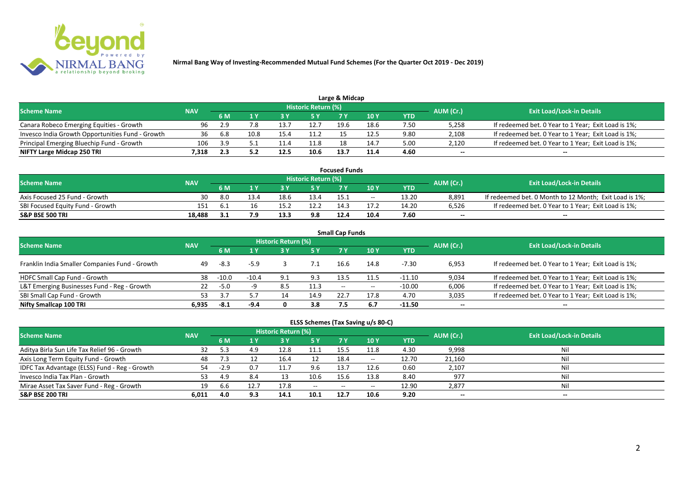

| <b>Scheme Name</b>                               | <b>NAV</b> |     |      |      | Historic Return (%) |      |      |      | AUM (Cr.) | <b>Exit Load/Lock-in Details</b>                    |
|--------------------------------------------------|------------|-----|------|------|---------------------|------|------|------|-----------|-----------------------------------------------------|
|                                                  |            |     |      |      | 5 Y                 |      |      | YTD  |           |                                                     |
| Canara Robeco Emerging Equities - Growth         | 96         | 2.9 |      |      | 12.7                | 19.6 | 18.6 | 7.50 | 5,258     | If redeemed bet. 0 Year to 1 Year; Exit Load is 1%; |
| Invesco India Growth Opportunities Fund - Growth | 36         | 6.8 | 10.8 | 15.4 | 11.2                |      | 12.5 | 9.80 | 2,108     | If redeemed bet. 0 Year to 1 Year; Exit Load is 1%; |
| Principal Emerging Bluechip Fund - Growth        | 106        | 3.9 |      |      | 11.8                | 18   | 14.7 | 5.00 | 2,120     | If redeemed bet. 0 Year to 1 Year; Exit Load is 1%; |
| NIFTY Large Midcap 250 TRI                       | '.318      |     |      | 12.5 | 10.6                | 13.  | 11.4 | 4.60 | $- -$     | $-$                                                 |

| <b>Focused Funds</b>             |            |      |      |       |                            |       |            |       |           |                                                        |  |  |  |
|----------------------------------|------------|------|------|-------|----------------------------|-------|------------|-------|-----------|--------------------------------------------------------|--|--|--|
| <b>Scheme Name</b>               | <b>NAV</b> |      |      |       | <b>Historic Return (%)</b> |       |            |       | AUM (Cr.) | <b>Exit Load/Lock-in Details</b>                       |  |  |  |
|                                  |            | 6 M  |      |       | 5 Y                        |       | <b>10Y</b> | YTD   |           |                                                        |  |  |  |
| Axis Focused 25 Fund - Growth    | 30         | 8.0  | 13.4 | 18.t. | 13.4                       |       | $- -$      | 13.20 | 8.891     | If redeemed bet. 0 Month to 12 Month; Exit Load is 1%; |  |  |  |
| SBI Focused Equity Fund - Growth | 151        | -6.1 |      |       | 12.2                       | ≏ 1⁄1 |            | 14.20 | 6,526     | If redeemed bet. 0 Year to 1 Year; Exit Load is 1%;    |  |  |  |
| <b>S&amp;P BSE 500 TRI</b>       | 18.488     |      | 7.9  | 13.3  | 9.8                        | 12.4  | 10.4       | 7.60  | $- -$     | $- -$                                                  |  |  |  |

|                                                |            |         |         |                     |      | <b>Small Cap Funds</b> |       |            |           |                                                     |
|------------------------------------------------|------------|---------|---------|---------------------|------|------------------------|-------|------------|-----------|-----------------------------------------------------|
| <b>Scheme Name</b>                             | <b>NAV</b> |         |         | Historic Return (%) |      |                        |       |            | AUM (Cr.) | <b>Exit Load/Lock-in Details</b>                    |
|                                                |            | 6 M     | 1 Y     | <b>3Y</b>           | 5 Y  | 7 Y                    | 10Y   | <b>YTD</b> |           |                                                     |
| Franklin India Smaller Companies Fund - Growth | 49         | -8.3    | $-5.9$  |                     |      | 16.6                   | 14.8  | -7.30      | 6,953     | If redeemed bet. 0 Year to 1 Year; Exit Load is 1%; |
| HDFC Small Cap Fund - Growth                   | 38         | $-10.0$ | $-10.4$ | 9.1                 | 9.3  | 13.5                   |       | $-11.10$   | 9,034     | If redeemed bet. 0 Year to 1 Year; Exit Load is 1%; |
| L&T Emerging Businesses Fund - Reg - Growth    | 22         | $-5.0$  | -9      | 8.5                 | 11.3 | $- -$                  | $- -$ | $-10.00$   | 6,006     | If redeemed bet. 0 Year to 1 Year; Exit Load is 1%; |
| SBI Small Cap Fund - Growth                    | 53         | ≺       |         | 14                  | 14.9 | 22.7                   | 17.8  | 4.70       | 3,035     | If redeemed bet. 0 Year to 1 Year; Exit Load is 1%; |
| Nifty Smallcap 100 TRI                         | 6.935      | -8.1    | $-9.4$  |                     | 3.8  | 7.5                    | 6.7   | -11.50     | $- -$     | $- -$                                               |

| ELSS Schemes (Tax Saving u/s 80-C)            |            |        |      |                            |       |           |                                                                                                   |            |           |                                  |  |  |  |
|-----------------------------------------------|------------|--------|------|----------------------------|-------|-----------|---------------------------------------------------------------------------------------------------|------------|-----------|----------------------------------|--|--|--|
| <b>Scheme Name</b>                            | <b>NAV</b> |        |      | <b>Historic Return (%)</b> |       |           |                                                                                                   |            | AUM (Cr.) | <b>Exit Load/Lock-in Details</b> |  |  |  |
|                                               |            | 6 M    |      | <b>3 Y</b>                 |       | <b>7Y</b> | 10Y                                                                                               | <b>YTD</b> |           |                                  |  |  |  |
| Aditya Birla Sun Life Tax Relief 96 - Growth  | 32         | 5.3    | 4.9  | 12.8                       | 11.1  | 15.5      |                                                                                                   | 4.30       | 9,998     | Ni                               |  |  |  |
| Axis Long Term Equity Fund - Growth           | 48         | 7.3    |      | 16.4                       | 12    | 18.4      | $\hspace{0.05cm} \hspace{0.02cm} \hspace{0.02cm} \hspace{0.02cm} \hspace{0.02cm} \hspace{0.02cm}$ | 12.70      | 21,160    | Ni                               |  |  |  |
| IDFC Tax Advantage (ELSS) Fund - Reg - Growth | 54         | $-2.9$ | 0.7  | 11.7                       | 9.6   | 13.7      | 12.6                                                                                              | 0.60       | 2,107     | Ni                               |  |  |  |
| Invesco India Tax Plan - Growth               | 53         | 4.9    | 8.4  | 13                         | 10.6  | 15.6      | 13.8                                                                                              | 8.40       | 977       | Ni                               |  |  |  |
| Mirae Asset Tax Saver Fund - Reg - Growth     | 19         | 6.6    | 12.7 | 17.8                       | $- -$ | $-$       | $\overline{\phantom{a}}$                                                                          | 12.90      | 2,877     | <b>Nil</b>                       |  |  |  |
| S&P BSE 200 TRI                               | 6,011      | 4.0    | 9.3  | 14.1                       | 10.1  | 12.7      | 10.6                                                                                              | 9.20       | --        | $- -$                            |  |  |  |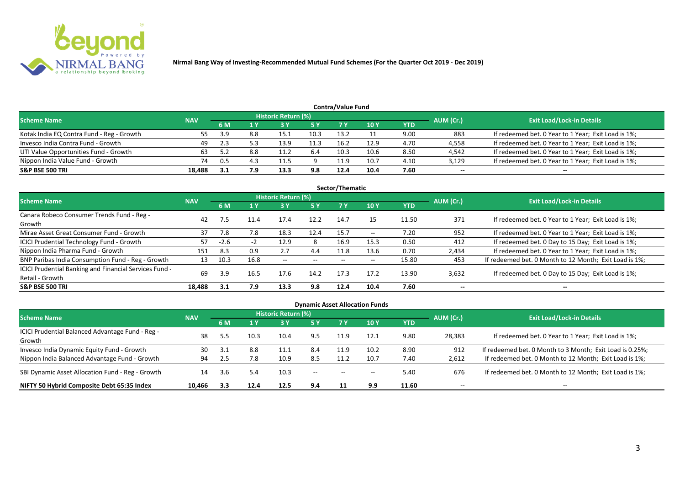

|                                           |            |       |     |                     |      | Contra/Value Fund |      |      |           |                                                     |
|-------------------------------------------|------------|-------|-----|---------------------|------|-------------------|------|------|-----------|-----------------------------------------------------|
| <b>Scheme Name</b>                        | <b>NAV</b> |       |     | Historic Return (%) |      |                   |      |      | AUM (Cr.) | <b>Exit Load/Lock-in Details</b>                    |
|                                           |            | 6 M   | 1 Y |                     | 5 Y  | 7 Y               | 10Y  | YTD  |           |                                                     |
| Kotak India EQ Contra Fund - Reg - Growth | 55         | - 2 Q | 8.8 | 15.1                | 10.3 | 13.2              |      | 9.00 | 883       | If redeemed bet. 0 Year to 1 Year; Exit Load is 1%; |
| Invesco India Contra Fund - Growth        | 49         | 2.3   |     | 13.9                | 11.3 | 16.2              | 12.9 | 4.70 | 4,558     | If redeemed bet. 0 Year to 1 Year; Exit Load is 1%; |
| UTI Value Opportunities Fund - Growth     | 63         | 52    | 8.8 | 11.2                | 6.4  | 10.3              | 10.6 | 8.50 | 4,542     | If redeemed bet. 0 Year to 1 Year; Exit Load is 1%; |
| Nippon India Value Fund - Growth          | 74         |       |     | 11.5                |      | 11.9              | 10.7 | 4.10 | 3,129     | If redeemed bet. 0 Year to 1 Year; Exit Load is 1%; |
| <b>S&amp;P BSE 500 TRI</b>                | 18,488     |       | 7.9 | 13.3                | 9.8  | 12.4              | 10.4 | 7.60 | --        | $-$                                                 |

|                                                        |            |        |      |                     |       | Sector/Thematic |       |       |           |                                                        |
|--------------------------------------------------------|------------|--------|------|---------------------|-------|-----------------|-------|-------|-----------|--------------------------------------------------------|
| <b>Scheme Name</b>                                     | <b>NAV</b> |        |      | Historic Return (%) |       |                 |       |       | AUM (Cr.) | <b>Exit Load/Lock-in Details</b>                       |
|                                                        |            | 6 M    | 1 Y  | 3 Y                 | 5 Y   |                 | 10Y   | YTD   |           |                                                        |
| Canara Robeco Consumer Trends Fund - Reg -             | 42         |        |      | 17.4                | 12.2  | 14.7            | 15    |       | 371       |                                                        |
| Growth                                                 |            | 7.5    | 11.4 |                     |       |                 |       | 11.50 |           | If redeemed bet. 0 Year to 1 Year; Exit Load is 1%;    |
| Mirae Asset Great Consumer Fund - Growth               | 37         | 7.8    | 7.8  | 18.3                | 12.4  | 15.7            | $- -$ | 7.20  | 952       | If redeemed bet. 0 Year to 1 Year; Exit Load is 1%;    |
| <b>ICICI Prudential Technology Fund - Growth</b>       |            | $-2.6$ |      | 12.9                | 8     | 16.9            | 15.3  | 0.50  | 412       | If redeemed bet. 0 Day to 15 Day; Exit Load is 1%;     |
| Nippon India Pharma Fund - Growth                      | 151        | 8.3    | 0.9  | 2.7                 | 4.4   | 11.8            | 13.6  | 0.70  | 2,434     | If redeemed bet. 0 Year to 1 Year; Exit Load is 1%;    |
| BNP Paribas India Consumption Fund - Reg - Growth      | 13         | 10.3   | 16.8 | $- -$               | $- -$ | $- -$           |       | 15.80 | 453       | If redeemed bet. 0 Month to 12 Month; Exit Load is 1%; |
| ICICI Prudential Banking and Financial Services Fund - | 69         | 3.9    | 16.5 | 17.6                | 14.2  | 17.3            | 17.2  | 13.90 | 3,632     | If redeemed bet. 0 Day to 15 Day; Exit Load is 1%;     |
| Retail - Growth                                        |            |        |      |                     |       |                 |       |       |           |                                                        |
| <b>S&amp;P BSE 500 TRI</b>                             | 18.488     | 3.1    | 7.9  | 13.3                | 9.8   | 12.4            | 10.4  | 7.60  |           |                                                        |

| <b>Dynamic Asset Allocation Funds</b>            |            |           |      |                            |       |       |                          |            |           |                                                          |  |  |  |  |
|--------------------------------------------------|------------|-----------|------|----------------------------|-------|-------|--------------------------|------------|-----------|----------------------------------------------------------|--|--|--|--|
| <b>Scheme Name</b>                               | <b>NAV</b> |           |      | <b>Historic Return (%)</b> |       |       |                          |            | AUM (Cr.) | <b>Exit Load/Lock-in Details</b>                         |  |  |  |  |
|                                                  |            | <b>6M</b> | 1 Y  | 3 Y                        | 5 Y   | 7 Y   | <b>10Y</b>               | <b>YTD</b> |           |                                                          |  |  |  |  |
| ICICI Prudential Balanced Advantage Fund - Reg - | 38         |           | 10.3 | 10.4                       | 9.5   | 11.9  | 12.1                     | 9.80       | 28,383    | If redeemed bet. 0 Year to 1 Year; Exit Load is 1%;      |  |  |  |  |
| Growth                                           |            |           |      |                            |       |       |                          |            |           |                                                          |  |  |  |  |
| Invesco India Dynamic Equity Fund - Growth       | 30         |           | 8.8  | 11.1                       | 8.4   | 11.9  | 10.2                     | 8.90       | 912       | If redeemed bet. 0 Month to 3 Month; Exit Load is 0.25%; |  |  |  |  |
| Nippon India Balanced Advantage Fund - Growth    | 94         |           | 7.8  | 10.9                       | 8.5   | 11.2  | 10.7                     | 7.40       | 2,612     | If redeemed bet. 0 Month to 12 Month; Exit Load is 1%;   |  |  |  |  |
| SBI Dynamic Asset Allocation Fund - Reg - Growth | 14         | 3.6       | 5.4  | 10.3                       | $- -$ | $- -$ | $\overline{\phantom{a}}$ | 5.40       | 676       | If redeemed bet. 0 Month to 12 Month; Exit Load is 1%;   |  |  |  |  |
| NIFTY 50 Hybrid Composite Debt 65:35 Index       | 10.466     | 3.3       | 12.4 | 12.5                       | 9.4   |       | 9.9                      | 11.60      | $- -$     | $- -$                                                    |  |  |  |  |

## **Contra/Value Fund**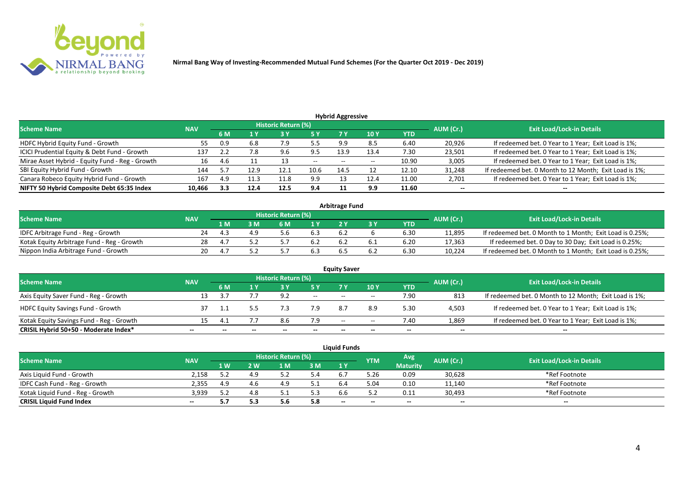

| <b>Hybrid Aggressive</b>                        |            |     |      |                            |           |                          |                 |            |           |                                                        |  |  |  |
|-------------------------------------------------|------------|-----|------|----------------------------|-----------|--------------------------|-----------------|------------|-----------|--------------------------------------------------------|--|--|--|
| <b>Scheme Name</b>                              | <b>NAV</b> |     |      | <b>Historic Return (%)</b> |           |                          |                 |            | AUM (Cr.) | <b>Exit Load/Lock-in Details</b>                       |  |  |  |
|                                                 |            | 6 M |      |                            | 5 Y       |                          | 10 <sub>1</sub> | <b>YTD</b> |           |                                                        |  |  |  |
| HDFC Hybrid Equity Fund - Growth                | 55         | 0.9 | 6.8  | 7.9                        | 55<br>ر.ر | 9.9                      | 8.5             | 6.40       | 20,926    | If redeemed bet. 0 Year to 1 Year; Exit Load is 1%;    |  |  |  |
| ICICI Prudential Equity & Debt Fund - Growth    | 137        |     | 7.8  | 9.6                        | 9.5       | 13.9                     | 13.4            | 7.30       | 23,501    | If redeemed bet. 0 Year to 1 Year; Exit Load is 1%;    |  |  |  |
| Mirae Asset Hybrid - Equity Fund - Reg - Growth | 16         | 4.6 |      |                            | $- -$     | $\overline{\phantom{a}}$ | $- -$           | 10.90      | 3,005     | If redeemed bet. 0 Year to 1 Year; Exit Load is 1%;    |  |  |  |
| SBI Equity Hybrid Fund - Growth                 | 144        |     | 12.9 | 12.1                       | 10.6      | 14.5                     |                 | 12.10      | 31,248    | If redeemed bet. 0 Month to 12 Month; Exit Load is 1%; |  |  |  |
| Canara Robeco Equity Hybrid Fund - Growth       | 167        | 4.9 |      | 11.8                       | 9.9       |                          | 12.4            | 11.00      | 2,701     | If redeemed bet. 0 Year to 1 Year; Exit Load is 1%;    |  |  |  |
| NIFTY 50 Hybrid Composite Debt 65:35 Index      | 10,466     | 3.3 | 12.4 | 12.5                       | 9.4       |                          | 9.9             | 11.60      | $- -$     | $- -$                                                  |  |  |  |

| <b>Arbitrage Fund</b>                      |            |     |   |                     |     |     |     |      |           |                                                          |  |  |  |
|--------------------------------------------|------------|-----|---|---------------------|-----|-----|-----|------|-----------|----------------------------------------------------------|--|--|--|
| <b>Scheme Name</b>                         | <b>NAV</b> |     |   | Historic Return (%) |     |     |     |      | AUM (Cr.) | <b>Exit Load/Lock-in Details</b>                         |  |  |  |
|                                            |            | l M | M | ົ M                 | 1 V |     |     | YTD  |           |                                                          |  |  |  |
| IDFC Arbitrage Fund - Reg - Growth         | 24         |     |   |                     | 6.3 | 6.2 |     | 6.30 | 11.895    | If redeemed bet. 0 Month to 1 Month; Exit Load is 0.25%; |  |  |  |
| Kotak Equity Arbitrage Fund - Reg - Growth | 28         |     |   |                     | 6.2 | 6.2 | b.1 | 6.20 | 17,363    | If redeemed bet. 0 Day to 30 Day; Exit Load is 0.25%;    |  |  |  |
| Nippon India Arbitrage Fund - Growth       |            |     |   |                     |     |     | b.∠ | 6.30 | 10,224    | If redeemed bet. 0 Month to 1 Month; Exit Load is 0.25%; |  |  |  |

|                                          |            |  | <b>Historic Return (%)</b> |       | <b>Equity Saver</b> |       |      |           |                                                        |
|------------------------------------------|------------|--|----------------------------|-------|---------------------|-------|------|-----------|--------------------------------------------------------|
| <b>Scheme Name</b>                       | <b>NAV</b> |  |                            | 5 Y   |                     | 10Y   | YTD  | AUM (Cr.) | <b>Exit Load/Lock-in Details</b>                       |
| Axis Equity Saver Fund - Reg - Growth    | 13         |  | 9.2                        | $ -$  | $- -$               | $- -$ | 7.90 | 813       | If redeemed bet. 0 Month to 12 Month; Exit Load is 1%; |
| <b>HDFC Equity Savings Fund - Growth</b> |            |  |                            | 7.9   |                     | 8.9   | 5.30 | 4,503     | If redeemed bet. 0 Year to 1 Year; Exit Load is 1%;    |
| Kotak Equity Savings Fund - Reg - Growth | 15         |  |                            | 7.9   | $-$                 | $- -$ | 7.40 | 1,869     | If redeemed bet. 0 Year to 1 Year; Exit Load is 1%;    |
| CRISIL Hybrid 50+50 - Moderate Index*    | --         |  |                            | $- -$ | $- -$               | --    | $-$  | $- -$     | $-$                                                    |

|                                  |            |             |       |                            |     | <b>Liquid Funds</b> |            |                 |           |                                  |
|----------------------------------|------------|-------------|-------|----------------------------|-----|---------------------|------------|-----------------|-----------|----------------------------------|
| <b>Scheme Name</b>               | <b>NAV</b> |             |       | <b>Historic Return (%)</b> |     |                     | <b>YTM</b> | Avg             | AUM (Cr.) | <b>Exit Load/Lock-in Details</b> |
|                                  |            | <b>1 W.</b> | ואי י | 1 M                        | 3 M | 1Y                  |            | <b>Maturity</b> |           |                                  |
| Axis Liguid Fund - Growth        | 2.158      |             |       |                            | 5.4 |                     | 5.26       | 0.09            | 30,628    | *Ref Footnote                    |
| IDFC Cash Fund - Reg - Growth    | 2.355      | 4.9         |       | 4.9                        | 5.1 |                     | 5.04       | 0.10            | 11,140    | *Ref Footnote                    |
| Kotak Liguid Fund - Reg - Growth | 3,939      | ے . د       |       | <u>.</u>                   | 5.3 |                     |            | 0.11            | 30,493    | *Ref Footnote                    |
| <b>CRISIL Liquid Fund Index</b>  | $- -$      |             | 5.3   | ں ر                        | 5.8 | $-$                 | $- -$      | $- -$           | --        | $- -$                            |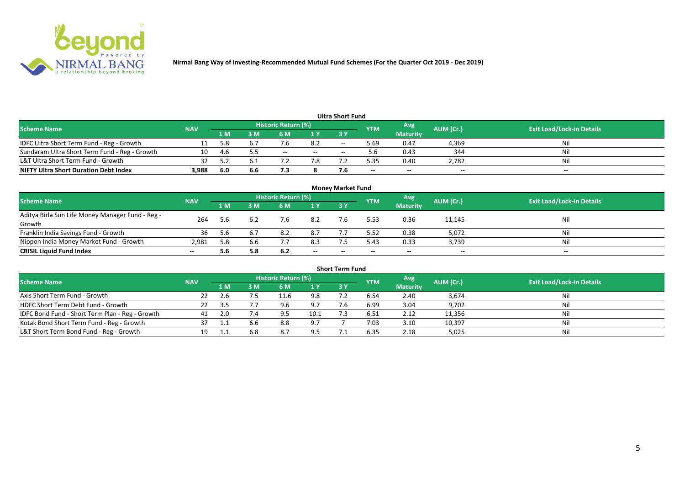

|                                               |            |      |     |                     |       | <b>Ultra Short Fund</b> |            |                 |           |                                  |
|-----------------------------------------------|------------|------|-----|---------------------|-------|-------------------------|------------|-----------------|-----------|----------------------------------|
| <b>Scheme Name</b>                            | <b>NAV</b> |      |     | Historic Return (%) |       |                         | <b>YTM</b> | Avg             | AUM (Cr.) | <b>Exit Load/Lock-in Details</b> |
|                                               |            | 1 M  | M   | 6 M                 | 1Y    | 73 Y                    |            | <b>Maturity</b> |           |                                  |
| IDFC Ultra Short Term Fund - Reg - Growth     |            | 5.8  | b., |                     | 8.2   | $- -$                   | 5.69       | 0.47            | 4,369     | Nil                              |
| Sundaram Ultra Short Term Fund - Reg - Growth | 10         | -4.6 |     | $- -$               | $- -$ |                         |            | 0.43            | 344       | Nil                              |
| L&T Ultra Short Term Fund - Growth            |            |      | 6.1 |                     | 7.8   |                         | ፡.35       | 0.40            | 2,782     | Nil                              |
| <b>NIFTY Ultra Short Duration Debt Index</b>  | 3,988      | -6.0 | 6.6 |                     |       |                         | $- -$      | $-$             | $-$       | $-$                              |

| <b>Money Market Fund</b>                         |            |                |     |                     |       |           |            |                 |           |                                  |  |  |  |  |
|--------------------------------------------------|------------|----------------|-----|---------------------|-------|-----------|------------|-----------------|-----------|----------------------------------|--|--|--|--|
| <b>Scheme Name</b>                               | <b>NAV</b> |                |     | Historic Return (%) |       |           | <b>YTM</b> | <b>Avg</b>      | AUM (Cr.) | <b>Exit Load/Lock-in Details</b> |  |  |  |  |
|                                                  |            | 1 <sub>M</sub> | ЗM  | 6 M                 | 1Y    | <b>3Y</b> |            | <b>Maturity</b> |           |                                  |  |  |  |  |
| Aditya Birla Sun Life Money Manager Fund - Reg - | 264        | 5.6            | 6.2 |                     | 8.2   |           | 5.53       | 0.36            | 11,145    | Nil                              |  |  |  |  |
| Growth                                           |            |                |     |                     |       |           |            |                 |           |                                  |  |  |  |  |
| Franklin India Savings Fund - Growth             | 36         | 5.6            | 6.7 | 8.2                 | 8.7   |           | 5.52       | 0.38            | 5,072     | Nil                              |  |  |  |  |
| Nippon India Money Market Fund - Growth          | 2,981      | 5.8            | 6.6 |                     | 8.3   |           | 5.43       | 0.33            | 3,739     | Ni!                              |  |  |  |  |
| <b>CRISIL Liquid Fund Index</b>                  |            | 5.6            | 5.8 | 6.2                 | $- -$ | --        | --         | $- -$           | $- -$     | $- -$                            |  |  |  |  |

| <b>Short Term Fund</b>                          |            |     |     |                            |      |            |            |                 |           |                                  |  |  |  |  |
|-------------------------------------------------|------------|-----|-----|----------------------------|------|------------|------------|-----------------|-----------|----------------------------------|--|--|--|--|
| <b>Scheme Name</b>                              | <b>NAV</b> |     |     | <b>Historic Return (%)</b> |      |            | <b>YTM</b> | Avg             | AUM (Cr.) | <b>Exit Load/Lock-in Details</b> |  |  |  |  |
|                                                 |            | 1 M | 3 M | 6 M                        | 1Y   | <b>3 Y</b> |            | <b>Maturity</b> |           |                                  |  |  |  |  |
| Axis Short Term Fund - Growth                   | 22         | 2.6 | 7.5 | 11.6                       | 9.8  |            | 6.54       | 2.40            | 3,674     | Nil                              |  |  |  |  |
| HDFC Short Term Debt Fund - Growth              | 22         |     |     | 9.6                        | 9.7  |            | 6.99       | 3.04            | 9,702     | Nil                              |  |  |  |  |
| IDFC Bond Fund - Short Term Plan - Reg - Growth | 41         | 2.0 | 7.4 | 9.5                        | 10.1 |            | 6.51       | 2.12            | 11,356    | Nil                              |  |  |  |  |
| Kotak Bond Short Term Fund - Reg - Growth       |            |     |     | 8.8                        | 9.7  |            | 7.03       | 3.10            | 10,397    | Nil                              |  |  |  |  |
| L&T Short Term Bond Fund - Reg - Growth         |            |     |     |                            | 9.5  |            | 6.35       | 2.18            | 5,025     | Nil                              |  |  |  |  |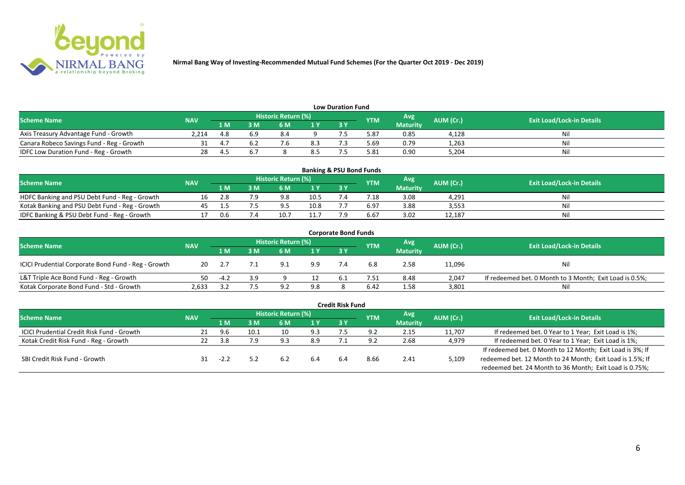

| <b>Low Duration Fund</b>                  |            |                         |     |                            |     |     |      |                 |           |                                  |  |  |  |  |
|-------------------------------------------|------------|-------------------------|-----|----------------------------|-----|-----|------|-----------------|-----------|----------------------------------|--|--|--|--|
| <b>Scheme Name</b>                        | <b>NAV</b> |                         |     | <b>Historic Return (%)</b> |     |     | YTM  | Avg             | AUM (Cr.) | <b>Exit Load/Lock-in Details</b> |  |  |  |  |
|                                           |            | 1 M                     | 3 M | 6 M                        | 1Y  | 3 Y |      | <b>Maturity</b> |           |                                  |  |  |  |  |
| Axis Treasury Advantage Fund - Growth     | 2.214      | - 0<br>4.8              |     | 8.4                        |     |     | 87.د | 0.85            | 4,128     | Ni                               |  |  |  |  |
| Canara Robeco Savings Fund - Reg - Growth |            | 4. .                    |     |                            | 8.3 |     | 69.د | 0.79            | 1,263     | ועו                              |  |  |  |  |
| IDFC Low Duration Fund - Reg - Growth     |            | $\mathbf{\mathbf{\mu}}$ |     |                            | 8.5 |     | 5.81 | 0.90            | 5,204     | Ni                               |  |  |  |  |

| <b>Banking &amp; PSU Bond Funds</b>            |            |     |     |                            |      |            |                |                 |                  |                                  |  |  |  |
|------------------------------------------------|------------|-----|-----|----------------------------|------|------------|----------------|-----------------|------------------|----------------------------------|--|--|--|
| <b>Scheme Name</b>                             | <b>NAV</b> |     |     | <b>Historic Return (%)</b> |      |            | <b>YTM</b>     | Avg             | <b>AUM (Cr.)</b> | <b>Exit Load/Lock-in Details</b> |  |  |  |
|                                                |            | 1 M | ١M  | 6 M                        |      | <b>3 Y</b> |                | <b>Maturity</b> |                  |                                  |  |  |  |
| HDFC Banking and PSU Debt Fund - Reg - Growth  |            |     | ם ד | 9.8                        | 10.5 |            | $^{\prime}.18$ | 3.08            | 4,291            | Nil                              |  |  |  |
| Kotak Banking and PSU Debt Fund - Reg - Growth |            |     |     | $\Omega$                   | 10.8 |            | $6.9^{-}$      | 3.88            | 3,553            | Nil                              |  |  |  |
| IDFC Banking & PSU Debt Fund - Reg - Growth    |            | 0.6 |     |                            |      |            | 6.67           | 3.02            | 12,187           | Nil                              |  |  |  |

|                                                     |            |      |     |                            |     | <b>Corporate Bond Funds</b> |            |                 |           |                                                         |
|-----------------------------------------------------|------------|------|-----|----------------------------|-----|-----------------------------|------------|-----------------|-----------|---------------------------------------------------------|
| <b>Scheme Name</b>                                  | <b>NAV</b> |      |     | <b>Historic Return (%)</b> |     |                             | <b>YTM</b> | Avg             | AUM (Cr.) | <b>Exit Load/Lock-in Details</b>                        |
|                                                     |            | 1 M  | 3 M | 6 M                        | 1 Y | 73 Y                        |            | <b>Maturity</b> |           |                                                         |
| ICICI Prudential Corporate Bond Fund - Reg - Growth | 20         |      |     | 9.1                        | 9.9 |                             |            | 2.58            | 11,096    | Nil                                                     |
| L&T Triple Ace Bond Fund - Reg - Growth             | 50.        | -4.2 | 3.9 |                            |     | 6.1                         | '.51       | 8.48            | 2,047     | If redeemed bet. 0 Month to 3 Month; Exit Load is 0.5%; |
| Kotak Corporate Bond Fund - Std - Growth            | 2,633      |      |     | ດ ?                        | 9.8 |                             | 6.42       | 1.58            | 3,801     | Ni                                                      |

|                                            |            |      |      |                            |     | <b>Credit Risk Fund</b> |            |                 |           |                                                           |
|--------------------------------------------|------------|------|------|----------------------------|-----|-------------------------|------------|-----------------|-----------|-----------------------------------------------------------|
| <b>Scheme Name</b>                         | <b>NAV</b> |      |      | <b>Historic Return (%)</b> |     |                         | <b>YTM</b> | Avg             | AUM (Cr.) | <b>Exit Load/Lock-in Details</b>                          |
|                                            |            | 1 M. | 3 M  | 6 M                        |     | 3Y                      |            | <b>Maturity</b> |           |                                                           |
| ICICI Prudential Credit Risk Fund - Growth | 21         | 9.6  | 10.1 | 10                         | 9.3 | 7.5                     | 9.2        | 2.15            | 11,707    | If redeemed bet. 0 Year to 1 Year; Exit Load is 1%;       |
| Kotak Credit Risk Fund - Reg - Growth      |            | 3.8  | 7.9  | 9.3                        | 8.9 |                         |            | 2.68            | 4,979     | If redeemed bet. 0 Year to 1 Year; Exit Load is 1%;       |
|                                            |            |      |      |                            |     |                         |            |                 |           | If redeemed bet. 0 Month to 12 Month; Exit Load is 3%; If |
| SBI Credit Risk Fund - Growth              |            | -22  |      | 6.2                        | 6.4 | 6.4                     | 8.66       | 2.41            | 5,109     | redeemed bet. 12 Month to 24 Month; Exit Load is 1.5%; If |
|                                            |            |      |      |                            |     |                         |            |                 |           | redeemed bet. 24 Month to 36 Month; Exit Load is 0.75%;   |